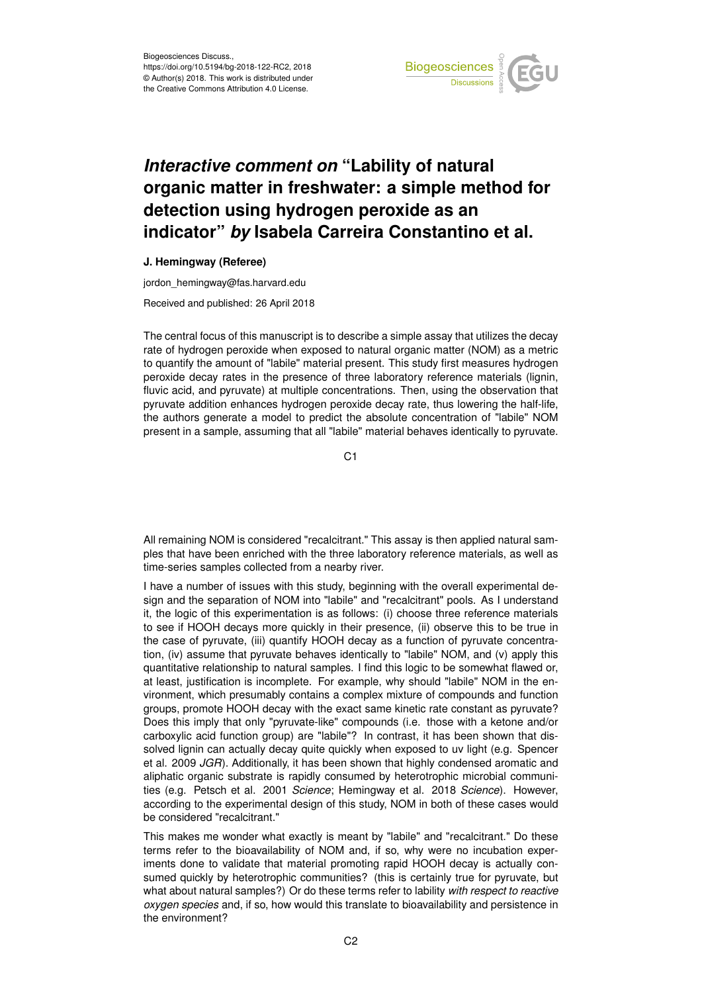

## *Interactive comment on* **"Lability of natural organic matter in freshwater: a simple method for detection using hydrogen peroxide as an indicator"** *by* **Isabela Carreira Constantino et al.**

## **J. Hemingway (Referee)**

jordon\_hemingway@fas.harvard.edu

Received and published: 26 April 2018

The central focus of this manuscript is to describe a simple assay that utilizes the decay rate of hydrogen peroxide when exposed to natural organic matter (NOM) as a metric to quantify the amount of "labile" material present. This study first measures hydrogen peroxide decay rates in the presence of three laboratory reference materials (lignin, fluvic acid, and pyruvate) at multiple concentrations. Then, using the observation that pyruvate addition enhances hydrogen peroxide decay rate, thus lowering the half-life, the authors generate a model to predict the absolute concentration of "labile" NOM present in a sample, assuming that all "labile" material behaves identically to pyruvate.

 $C<sub>1</sub>$ 

All remaining NOM is considered "recalcitrant." This assay is then applied natural samples that have been enriched with the three laboratory reference materials, as well as time-series samples collected from a nearby river.

I have a number of issues with this study, beginning with the overall experimental design and the separation of NOM into "labile" and "recalcitrant" pools. As I understand it, the logic of this experimentation is as follows: (i) choose three reference materials to see if HOOH decays more quickly in their presence, (ii) observe this to be true in the case of pyruvate, (iii) quantify HOOH decay as a function of pyruvate concentration, (iv) assume that pyruvate behaves identically to "labile" NOM, and (v) apply this quantitative relationship to natural samples. I find this logic to be somewhat flawed or, at least, justification is incomplete. For example, why should "labile" NOM in the environment, which presumably contains a complex mixture of compounds and function groups, promote HOOH decay with the exact same kinetic rate constant as pyruvate? Does this imply that only "pyruvate-like" compounds (i.e. those with a ketone and/or carboxylic acid function group) are "labile"? In contrast, it has been shown that dissolved lignin can actually decay quite quickly when exposed to uv light (e.g. Spencer et al. 2009 *JGR*). Additionally, it has been shown that highly condensed aromatic and aliphatic organic substrate is rapidly consumed by heterotrophic microbial communities (e.g. Petsch et al. 2001 *Science*; Hemingway et al. 2018 *Science*). However, according to the experimental design of this study, NOM in both of these cases would be considered "recalcitrant."

This makes me wonder what exactly is meant by "labile" and "recalcitrant." Do these terms refer to the bioavailability of NOM and, if so, why were no incubation experiments done to validate that material promoting rapid HOOH decay is actually consumed quickly by heterotrophic communities? (this is certainly true for pyruvate, but what about natural samples?) Or do these terms refer to lability *with respect to reactive oxygen species* and, if so, how would this translate to bioavailability and persistence in the environment?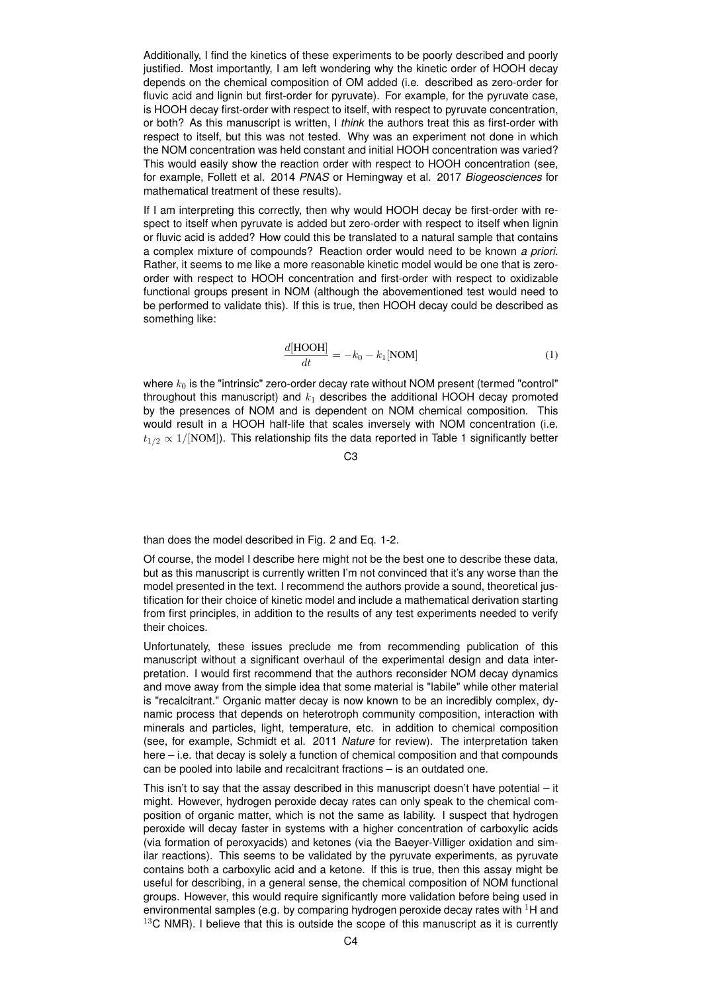Additionally, I find the kinetics of these experiments to be poorly described and poorly justified. Most importantly, I am left wondering why the kinetic order of HOOH decay depends on the chemical composition of OM added (i.e. described as zero-order for fluvic acid and lignin but first-order for pyruvate). For example, for the pyruvate case, is HOOH decay first-order with respect to itself, with respect to pyruvate concentration, or both? As this manuscript is written, I *think* the authors treat this as first-order with respect to itself, but this was not tested. Why was an experiment not done in which the NOM concentration was held constant and initial HOOH concentration was varied? This would easily show the reaction order with respect to HOOH concentration (see, for example, Follett et al. 2014 *PNAS* or Hemingway et al. 2017 *Biogeosciences* for mathematical treatment of these results).

If I am interpreting this correctly, then why would HOOH decay be first-order with respect to itself when pyruvate is added but zero-order with respect to itself when lignin or fluvic acid is added? How could this be translated to a natural sample that contains a complex mixture of compounds? Reaction order would need to be known *a priori*. Rather, it seems to me like a more reasonable kinetic model would be one that is zeroorder with respect to HOOH concentration and first-order with respect to oxidizable functional groups present in NOM (although the abovementioned test would need to be performed to validate this). If this is true, then HOOH decay could be described as something like:

$$
\frac{d[\text{HOOH}]}{dt} = -k_0 - k_1[\text{NOM}] \tag{1}
$$

where  $k_0$  is the "intrinsic" zero-order decay rate without NOM present (termed "control" throughout this manuscript) and  $k_1$  describes the additional HOOH decay promoted by the presences of NOM and is dependent on NOM chemical composition. This would result in a HOOH half-life that scales inversely with NOM concentration (i.e.  $t_{1/2} \propto 1/[\text{NOM}]\right)$ . This relationship fits the data reported in Table 1 significantly better

 $C<sub>3</sub>$ 

than does the model described in Fig. 2 and Eq. 1-2.

Of course, the model I describe here might not be the best one to describe these data, but as this manuscript is currently written I'm not convinced that it's any worse than the model presented in the text. I recommend the authors provide a sound, theoretical justification for their choice of kinetic model and include a mathematical derivation starting from first principles, in addition to the results of any test experiments needed to verify their choices.

Unfortunately, these issues preclude me from recommending publication of this manuscript without a significant overhaul of the experimental design and data interpretation. I would first recommend that the authors reconsider NOM decay dynamics and move away from the simple idea that some material is "labile" while other material is "recalcitrant." Organic matter decay is now known to be an incredibly complex, dynamic process that depends on heterotroph community composition, interaction with minerals and particles, light, temperature, etc. in addition to chemical composition (see, for example, Schmidt et al. 2011 *Nature* for review). The interpretation taken here – i.e. that decay is solely a function of chemical composition and that compounds can be pooled into labile and recalcitrant fractions – is an outdated one.

This isn't to say that the assay described in this manuscript doesn't have potential – it might. However, hydrogen peroxide decay rates can only speak to the chemical composition of organic matter, which is not the same as lability. I suspect that hydrogen peroxide will decay faster in systems with a higher concentration of carboxylic acids (via formation of peroxyacids) and ketones (via the Baeyer-Villiger oxidation and similar reactions). This seems to be validated by the pyruvate experiments, as pyruvate contains both a carboxylic acid and a ketone. If this is true, then this assay might be useful for describing, in a general sense, the chemical composition of NOM functional groups. However, this would require significantly more validation before being used in environmental samples (e.g. by comparing hydrogen peroxide decay rates with  ${}^{1}$ H and  $13C$  NMR). I believe that this is outside the scope of this manuscript as it is currently